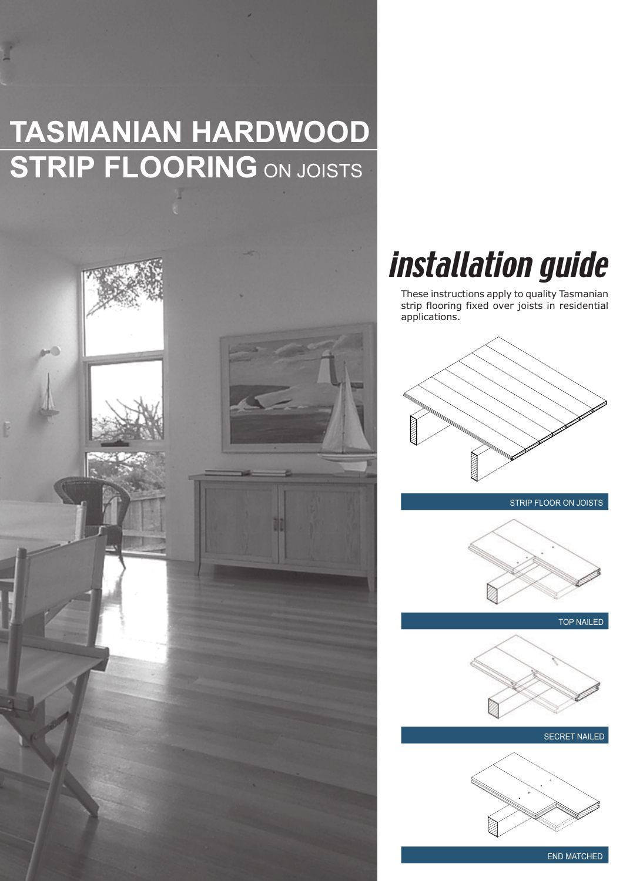# **TASMANIAN HARDWOOD STRIP FLOORING** ON JOISTS



# installation guide

These instructions apply to quality Tasmanian strip flooring fixed over joists in residential applications.



STRIP FLOOR ON JOISTS



TOP NAILED



SECRET NAILED



END MATCHED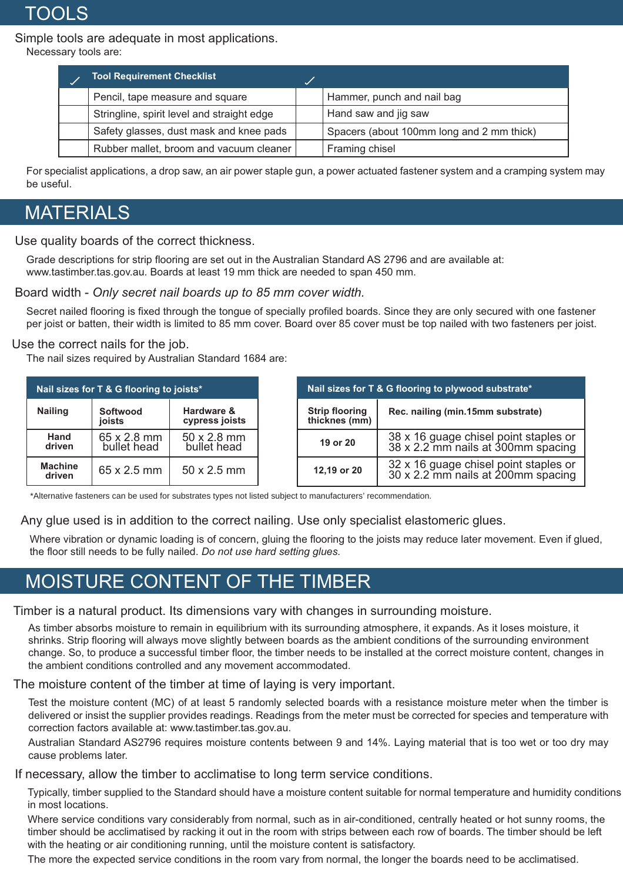**TOOLS** 

Simple tools are adequate in most applications.

Necessary tools are:

| <b>Tool Requirement Checklist</b>          |                                           |
|--------------------------------------------|-------------------------------------------|
| Pencil, tape measure and square            | Hammer, punch and nail bag                |
| Stringline, spirit level and straight edge | Hand saw and jig saw                      |
| Safety glasses, dust mask and knee pads    | Spacers (about 100mm long and 2 mm thick) |
| Rubber mallet, broom and vacuum cleaner    | Framing chisel                            |

For specialist applications, a drop saw, an air power staple gun, a power actuated fastener system and a cramping system may be useful.

### MATERIALS

Use quality boards of the correct thickness.

Grade descriptions for strip flooring are set out in the Australian Standard AS 2796 and are available at: www.tastimber.tas.gov.au. Boards at least 19 mm thick are needed to span 450 mm.

Board width - *Only secret nail boards up to 85 mm cover width.*

Secret nailed flooring is fixed through the tongue of specially profiled boards. Since they are only secured with one fastener per joist or batten, their width is limited to 85 mm cover. Board over 85 cover must be top nailed with two fasteners per joist.

#### Use the correct nails for the job.

The nail sizes required by Australian Standard 1684 are:

| Nail sizes for T & G flooring to joists* |                            |                              |  | Nail sizes for T & G flooring to plywood substrate* |                                                                             |
|------------------------------------------|----------------------------|------------------------------|--|-----------------------------------------------------|-----------------------------------------------------------------------------|
| <b>Nailing</b>                           | Softwood<br><b>joists</b>  | Hardware &<br>cypress joists |  | <b>Strip flooring</b><br>thicknes (mm)              | Rec. nailing (min.15mm substrate)                                           |
| Hand<br>driven                           | 65 x 2.8 mm<br>bullet head | 50 x 2.8 mm<br>bullet head   |  | 19 or 20                                            | 38 x 16 guage chisel point staples or<br>38 x 2.2 mm nails at 300mm spacing |
| <b>Machine</b><br>driven                 | $65 \times 2.5$ mm         | $50 \times 2.5$ mm           |  | 12,19 or 20                                         | 32 x 16 guage chisel point staples or<br>30 x 2.2 mm nails at 200mm spacing |

\*Alternative fasteners can be used for substrates types not listed subject to manufacturers' recommendation.

Any glue used is in addition to the correct nailing. Use only specialist elastomeric glues.

Where vibration or dynamic loading is of concern, gluing the flooring to the joists may reduce later movement. Even if glued, the floor still needs to be fully nailed. *Do not use hard setting glues.*

## MOISTURE CONTENT OF THE TIMBER

Timber is a natural product. Its dimensions vary with changes in surrounding moisture.

As timber absorbs moisture to remain in equilibrium with its surrounding atmosphere, it expands. As it loses moisture, it shrinks. Strip flooring will always move slightly between boards as the ambient conditions of the surrounding environment change. So, to produce a successful timber floor, the timber needs to be installed at the correct moisture content, changes in the ambient conditions controlled and any movement accommodated.

The moisture content of the timber at time of laying is very important.

Test the moisture content (MC) of at least 5 randomly selected boards with a resistance moisture meter when the timber is delivered or insist the supplier provides readings. Readings from the meter must be corrected for species and temperature with correction factors available at: www.tastimber.tas.gov.au.

Australian Standard AS2796 requires moisture contents between 9 and 14%. Laying material that is too wet or too dry may cause problems later.

If necessary, allow the timber to acclimatise to long term service conditions.

Typically, timber supplied to the Standard should have a moisture content suitable for normal temperature and humidity conditions in most locations.

Where service conditions vary considerably from normal, such as in air-conditioned, centrally heated or hot sunny rooms, the timber should be acclimatised by racking it out in the room with strips between each row of boards. The timber should be left with the heating or air conditioning running, until the moisture content is satisfactory.

The more the expected service conditions in the room vary from normal, the longer the boards need to be acclimatised.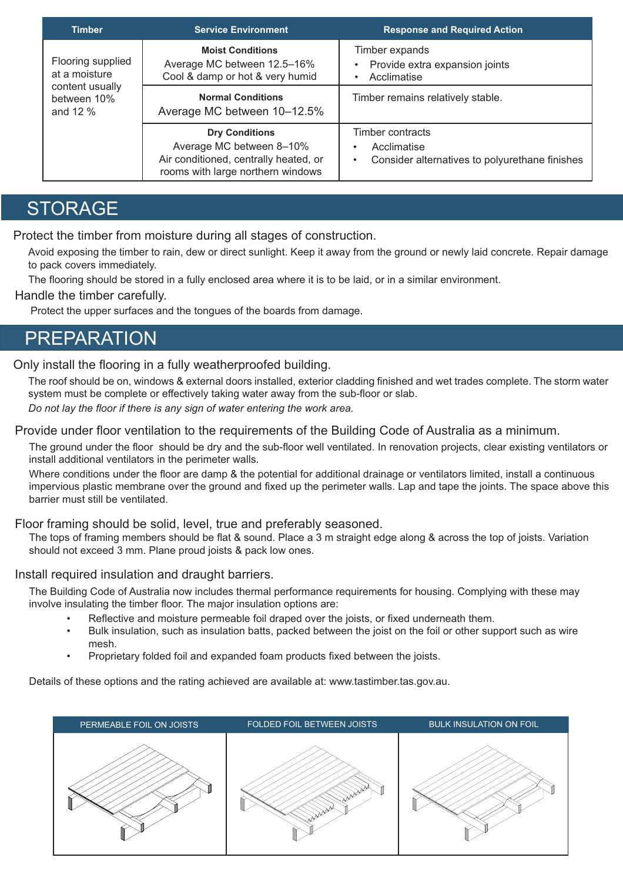| <b>Timber</b>                              | <b>Service Environment</b>                                                                                                      | <b>Response and Required Action</b>                                                            |
|--------------------------------------------|---------------------------------------------------------------------------------------------------------------------------------|------------------------------------------------------------------------------------------------|
| Flooring supplied<br>at a moisture         | <b>Moist Conditions</b><br>Average MC between 12.5-16%<br>Cool & damp or hot & very humid                                       | Timber expands<br>Provide extra expansion joints<br>Acclimatise                                |
| content usually<br>between 10%<br>and 12 % | <b>Normal Conditions</b><br>Average MC between 10-12.5%                                                                         | Timber remains relatively stable.                                                              |
|                                            | <b>Dry Conditions</b><br>Average MC between 8-10%<br>Air conditioned, centrally heated, or<br>rooms with large northern windows | Timber contracts<br>Acclimatise<br>Consider alternatives to polyurethane finishes<br>$\bullet$ |

### **STORAGE**

Protect the timber from moisture during all stages of construction.

Avoid exposing the timber to rain, dew or direct sunlight. Keep it away from the ground or newly laid concrete. Repair damage to pack covers immediately.

The flooring should be stored in a fully enclosed area where it is to be laid, or in a similar environment.

#### Handle the timber carefully.

Protect the upper surfaces and the tongues of the boards from damage.

### PREPARATION

### Only install the flooring in a fully weatherproofed building.

The roof should be on, windows & external doors installed, exterior cladding finished and wet trades complete. The storm water system must be complete or effectively taking water away from the sub-floor or slab. *Do not lay the floor if there is any sign of water entering the work area.*

Provide under floor ventilation to the requirements of the Building Code of Australia as a minimum.

The ground under the floor should be dry and the sub-floor well ventilated. In renovation projects, clear existing ventilators or install additional ventilators in the perimeter walls.

Where conditions under the floor are damp & the potential for additional drainage or ventilators limited, install a continuous impervious plastic membrane over the ground and fixed up the perimeter walls. Lap and tape the joints. The space above this barrier must still be ventilated.

### Floor framing should be solid, level, true and preferably seasoned.

The tops of framing members should be flat & sound. Place a 3 m straight edge along & across the top of joists. Variation should not exceed 3 mm. Plane proud joists & pack low ones.

### Install required insulation and draught barriers.

The Building Code of Australia now includes thermal performance requirements for housing. Complying with these may involve insulating the timber floor. The major insulation options are:

- Reflective and moisture permeable foil draped over the joists, or fixed underneath them.
- Bulk insulation, such as insulation batts, packed between the joist on the foil or other support such as wire mesh.
- Proprietary folded foil and expanded foam products fixed between the joists.

Details of these options and the rating achieved are available at: www.tastimber.tas.gov.au.

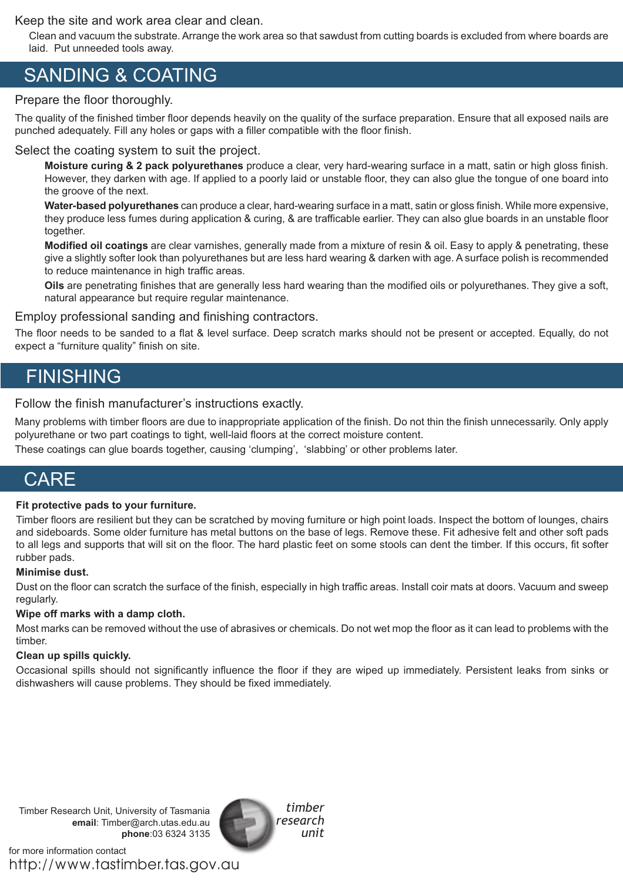Keep the site and work area clear and clean.

Clean and vacuum the substrate. Arrange the work area so that sawdust from cutting boards is excluded from where boards are laid. Put unneeded tools away.

## SANDING & COATING

### Prepare the floor thoroughly.

The quality of the finished timber floor depends heavily on the quality of the surface preparation. Ensure that all exposed nails are punched adequately. Fill any holes or gaps with a filler compatible with the floor finish.

#### Select the coating system to suit the project.

**Moisture curing & 2 pack polyurethanes** produce a clear, very hard-wearing surface in a matt, satin or high gloss finish. However, they darken with age. If applied to a poorly laid or unstable floor, they can also glue the tongue of one board into the groove of the next.

**Water-based polyurethanes** can produce a clear, hard-wearing surface in a matt, satin or gloss finish. While more expensive, they produce less fumes during application & curing, & are trafficable earlier. They can also glue boards in an unstable floor together.

**Modified oil coatings** are clear varnishes, generally made from a mixture of resin & oil. Easy to apply & penetrating, these give a slightly softer look than polyurethanes but are less hard wearing & darken with age. A surface polish is recommended to reduce maintenance in high traffic areas.

**Oils** are penetrating finishes that are generally less hard wearing than the modified oils or polyurethanes. They give a soft, natural appearance but require regular maintenance.

#### Employ professional sanding and finishing contractors.

The floor needs to be sanded to a flat & level surface. Deep scratch marks should not be present or accepted. Equally, do not expect a "furniture quality" finish on site.

### **FINISHING**

Follow the finish manufacturer's instructions exactly.

Many problems with timber floors are due to inappropriate application of the finish. Do not thin the finish unnecessarily. Only apply polyurethane or two part coatings to tight, well-laid floors at the correct moisture content.

These coatings can glue boards together, causing 'clumping', 'slabbing' or other problems later.

## **CARE**

#### **Fit protective pads to your furniture.**

Timber floors are resilient but they can be scratched by moving furniture or high point loads. Inspect the bottom of lounges, chairs and sideboards. Some older furniture has metal buttons on the base of legs. Remove these. Fit adhesive felt and other soft pads to all legs and supports that will sit on the floor. The hard plastic feet on some stools can dent the timber. If this occurs, fit softer rubber pads.

#### **Minimise dust.**

Dust on the floor can scratch the surface of the finish, especially in high traffic areas. Install coir mats at doors. Vacuum and sweep regularly.

#### **Wipe off marks with a damp cloth.**

Most marks can be removed without the use of abrasives or chemicals. Do not wet mop the floor as it can lead to problems with the timber.

#### **Clean up spills quickly.**

Occasional spills should not significantly influence the floor if they are wiped up immediately. Persistent leaks from sinks or dishwashers will cause problems. They should be fixed immediately.

Timber Research Unit, University of Tasmania **email**: Timber@arch.utas.edu.au **phone**:03 6324 3135

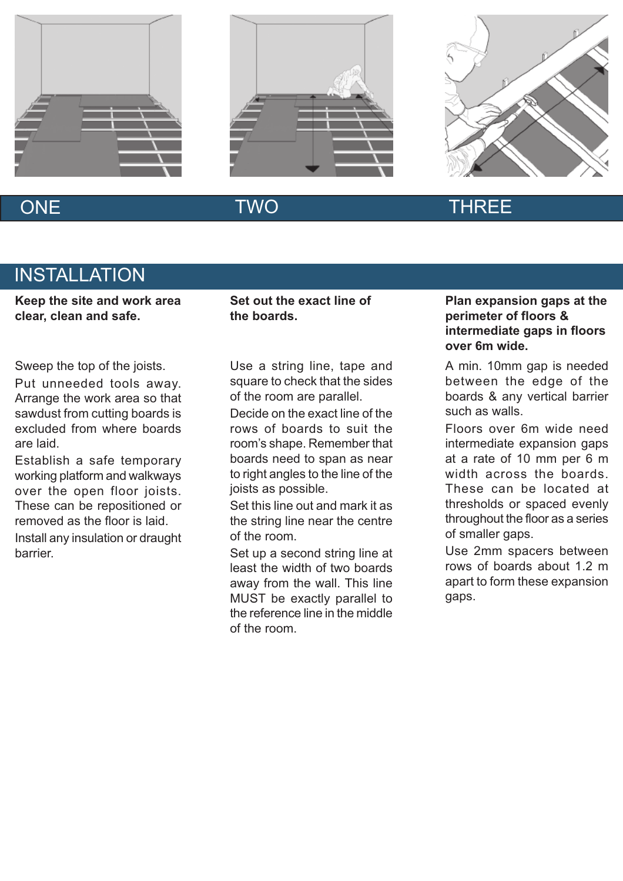





barrier.

### ONE TWO TWO THREE

## **INSTALLATION**

**Keep the site and work area clear, clean and safe.**

Sweep the top of the joists.

Put unneeded tools away. Arrange the work area so that sawdust from cutting boards is excluded from where boards are laid.

Establish a safe temporary working platform and walkways over the open floor joists. These can be repositioned or removed as the floor is laid. Install any insulation or draught **Set out the exact line of the boards.**

Use a string line, tape and square to check that the sides of the room are parallel.

Decide on the exact line of the rows of boards to suit the room's shape. Remember that boards need to span as near to right angles to the line of the joists as possible.

Set this line out and mark it as the string line near the centre of the room.

Set up a second string line at least the width of two boards away from the wall. This line MUST be exactly parallel to the reference line in the middle of the room.

### **Plan expansion gaps at the perimeter of floors & intermediate gaps in floors over 6m wide.**

A min. 10mm gap is needed between the edge of the boards & any vertical barrier such as walls.

Floors over 6m wide need intermediate expansion gaps at a rate of 10 mm per 6 m width across the boards. These can be located at thresholds or spaced evenly throughout the floor as a series of smaller gaps.

Use 2mm spacers between rows of boards about 1.2 m apart to form these expansion gaps.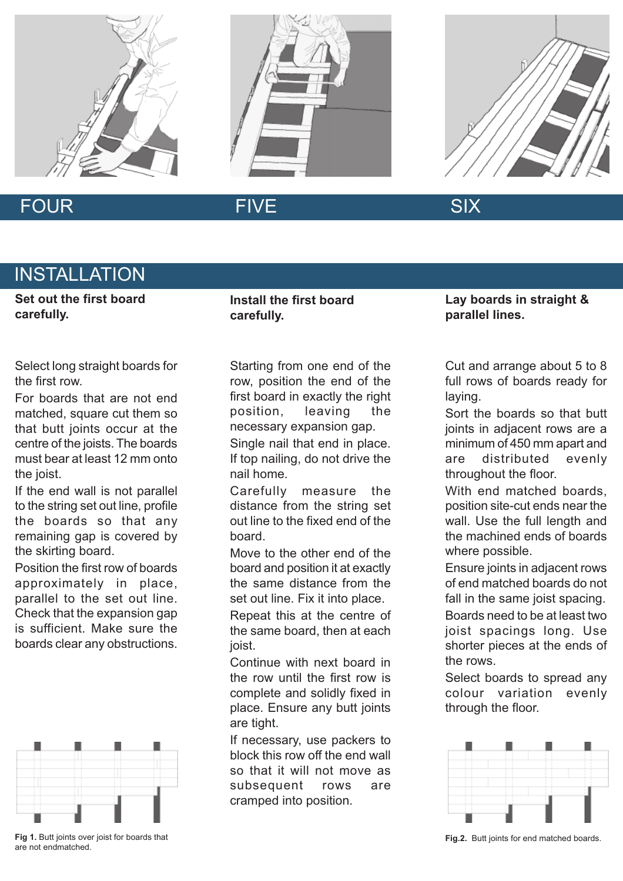





### FOUR FIVE FIVE SIX

## INSTALLATION

**Set out the first board carefully.**

Select long straight boards for the first row.

For boards that are not end matched, square cut them so that butt joints occur at the centre of the joists. The boards must bear at least 12 mm onto the joist.

If the end wall is not parallel to the string set out line, profile the boards so that any remaining gap is covered by the skirting board.

Position the first row of boards approximately in place, parallel to the set out line. Check that the expansion gap is sufficient. Make sure the boards clear any obstructions.



**Fig 1.** Butt joints over joist for boards that are not endmatched.

**Install the first board carefully.**

Starting from one end of the row, position the end of the first board in exactly the right position, leaving the necessary expansion gap. Single nail that end in place.

If top nailing, do not drive the nail home.

Carefully measure the distance from the string set out line to the fixed end of the board.

Move to the other end of the board and position it at exactly the same distance from the set out line. Fix it into place.

Repeat this at the centre of the same board, then at each joist.

Continue with next board in the row until the first row is complete and solidly fixed in place. Ensure any butt joints are tight.

If necessary, use packers to block this row off the end wall so that it will not move as subsequent rows are cramped into position.

**Lay boards in straight & parallel lines.**

Cut and arrange about 5 to 8 full rows of boards ready for laying.

Sort the boards so that butt joints in adjacent rows are a minimum of 450 mm apart and are distributed evenly throughout the floor.

With end matched boards. position site-cut ends near the wall. Use the full length and the machined ends of boards where possible.

Ensure joints in adjacent rows of end matched boards do not fall in the same joist spacing.

Boards need to be at least two joist spacings long. Use shorter pieces at the ends of the rows.

Select boards to spread any colour variation evenly through the floor.



**Fig.2.** Butt joints for end matched boards.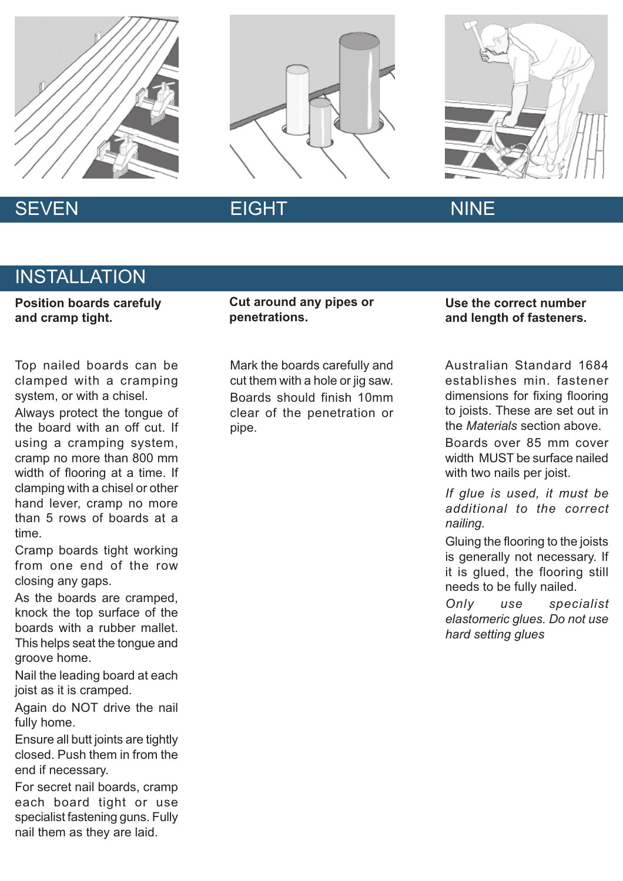





## SEVEN EIGHT NINE

## INSTALLATION

**Position boards carefuly and cramp tight.**

Top nailed boards can be clamped with a cramping system, or with a chisel.

Always protect the tongue of the board with an off cut. If using a cramping system, cramp no more than 800 mm width of flooring at a time. If clamping with a chisel or other hand lever, cramp no more than 5 rows of boards at a time.

Cramp boards tight working from one end of the row closing any gaps.

As the boards are cramped, knock the top surface of the boards with a rubber mallet. This helps seat the tongue and groove home.

Nail the leading board at each joist as it is cramped.

Again do NOT drive the nail fully home.

Ensure all butt joints are tightly closed. Push them in from the end if necessary.

For secret nail boards, cramp each board tight or use specialist fastening guns. Fully nail them as they are laid.

**Cut around any pipes or penetrations.**

Mark the boards carefully and cut them with a hole or jig saw. Boards should finish 10mm clear of the penetration or pipe.

### **Use the correct number and length of fasteners.**

Australian Standard 1684 establishes min. fastener dimensions for fixing flooring to joists. These are set out in the *Materials* section above.

Boards over 85 mm cover width MUST be surface nailed with two nails per joist.

*If glue is used, it must be additional to the correct nailing.*

Gluing the flooring to the joists is generally not necessary. If it is glued, the flooring still needs to be fully nailed.

*Only use specialist elastomeric glues. Do not use hard setting glues*